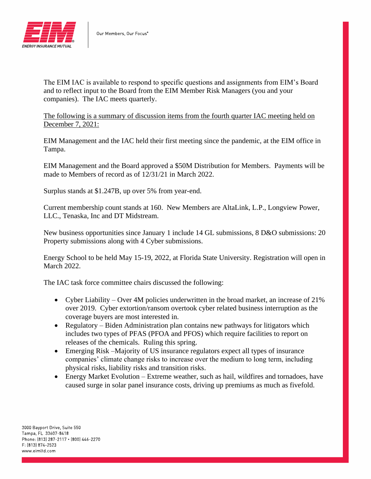

The EIM IAC is available to respond to specific questions and assignments from EIM's Board and to reflect input to the Board from the EIM Member Risk Managers (you and your companies). The IAC meets quarterly.

The following is a summary of discussion items from the fourth quarter IAC meeting held on December 7, 2021:

EIM Management and the IAC held their first meeting since the pandemic, at the EIM office in Tampa.

EIM Management and the Board approved a \$50M Distribution for Members. Payments will be made to Members of record as of 12/31/21 in March 2022.

Surplus stands at \$1.247B, up over 5% from year-end.

Current membership count stands at 160. New Members are AltaLink, L.P., Longview Power, LLC., Tenaska, Inc and DT Midstream.

New business opportunities since January 1 include 14 GL submissions, 8 D&O submissions: 20 Property submissions along with 4 Cyber submissions.

Energy School to be held May 15-19, 2022, at Florida State University. Registration will open in March 2022.

The IAC task force committee chairs discussed the following:

- Cyber Liability Over 4M policies underwritten in the broad market, an increase of 21% over 2019. Cyber extortion/ransom overtook cyber related business interruption as the coverage buyers are most interested in.
- Regulatory Biden Administration plan contains new pathways for litigators which includes two types of PFAS (PFOA and PFOS) which require facilities to report on releases of the chemicals. Ruling this spring.
- Emerging Risk –Majority of US insurance regulators expect all types of insurance companies' climate change risks to increase over the medium to long term, including physical risks, liability risks and transition risks.
- Energy Market Evolution Extreme weather, such as hail, wildfires and tornadoes, have caused surge in solar panel insurance costs, driving up premiums as much as fivefold.

3000 Bayport Drive, Suite 550 Tampa, FL 33607-8418 Phone: [813] 287-2117 . [800] 446-2270 F: (813) 874-2523 www.eimltd.com